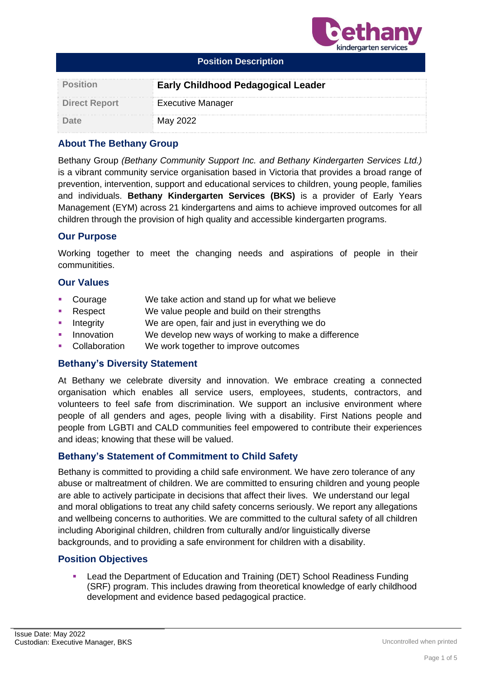

| <b>Position Description</b> |                                           |  |  |
|-----------------------------|-------------------------------------------|--|--|
| <b>Position</b>             | <b>Early Childhood Pedagogical Leader</b> |  |  |
| <b>Direct Report</b>        | <b>Executive Manager</b>                  |  |  |
| Date                        | May 2022                                  |  |  |

# **About The Bethany Group**

Bethany Group *(Bethany Community Support Inc. and Bethany Kindergarten Services Ltd.)* is a vibrant community service organisation based in Victoria that provides a broad range of prevention, intervention, support and educational services to children, young people, families and individuals. **Bethany Kindergarten Services (BKS)** is a provider of Early Years Management (EYM) across 21 kindergartens and aims to achieve improved outcomes for all children through the provision of high quality and accessible kindergarten programs.

## **Our Purpose**

Working together to meet the changing needs and aspirations of people in their communitities.

## **Our Values**

- Courage We take action and stand up for what we believe
- Respect We value people and build on their strengths
- Integrity We are open, fair and just in everything we do
- Innovation We develop new ways of working to make a difference
- Collaboration We work together to improve outcomes

### **Bethany's Diversity Statement**

At Bethany we celebrate diversity and innovation. We embrace creating a connected organisation which enables all service users, employees, students, contractors, and volunteers to feel safe from discrimination. We support an inclusive environment where people of all genders and ages, people living with a disability. First Nations people and people from LGBTI and CALD communities feel empowered to contribute their experiences and ideas; knowing that these will be valued.

## **Bethany's Statement of Commitment to Child Safety**

Bethany is committed to providing a child safe environment. We have zero tolerance of any abuse or maltreatment of children. We are committed to ensuring children and young people are able to actively participate in decisions that affect their lives. We understand our legal and moral obligations to treat any child safety concerns seriously. We report any allegations and wellbeing concerns to authorities. We are committed to the cultural safety of all children including Aboriginal children, children from culturally and/or linguistically diverse backgrounds, and to providing a safe environment for children with a disability.

### **Position Objectives**

■ Lead the Department of Education and Training (DET) School Readiness Funding (SRF) program. This includes drawing from theoretical knowledge of early childhood development and evidence based pedagogical practice.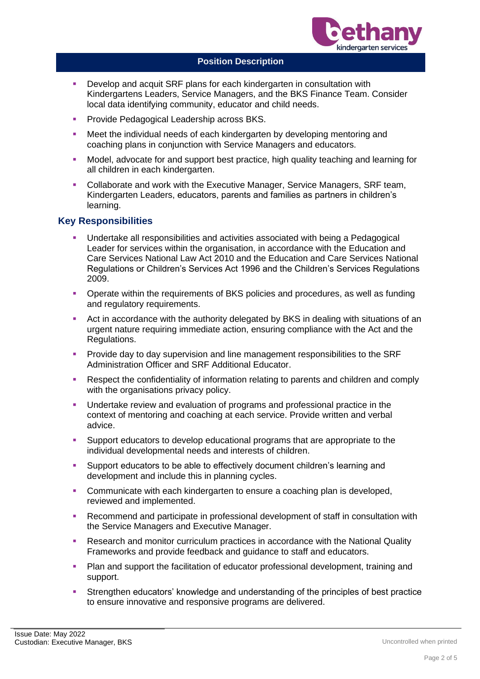

- Develop and acquit SRF plans for each kindergarten in consultation with Kindergartens Leaders, Service Managers, and the BKS Finance Team. Consider local data identifying community, educator and child needs.
- **Provide Pedagogical Leadership across BKS.**
- Meet the individual needs of each kindergarten by developing mentoring and coaching plans in conjunction with Service Managers and educators.
- **■** Model, advocate for and support best practice, high quality teaching and learning for all children in each kindergarten.
- Collaborate and work with the Executive Manager, Service Managers, SRF team, Kindergarten Leaders, educators, parents and families as partners in children's learning.

## **Key Responsibilities**

- Undertake all responsibilities and activities associated with being a Pedagogical Leader for services within the organisation, in accordance with the Education and Care Services National Law Act 2010 and the Education and Care Services National Regulations or Children's Services Act 1996 and the Children's Services Regulations 2009.
- Operate within the requirements of BKS policies and procedures, as well as funding and regulatory requirements.
- Act in accordance with the authority delegated by BKS in dealing with situations of an urgent nature requiring immediate action, ensuring compliance with the Act and the Regulations.
- **•** Provide day to day supervision and line management responsibilities to the SRF Administration Officer and SRF Additional Educator.
- Respect the confidentiality of information relating to parents and children and comply with the organisations privacy policy.
- Undertake review and evaluation of programs and professional practice in the context of mentoring and coaching at each service. Provide written and verbal advice.
- Support educators to develop educational programs that are appropriate to the individual developmental needs and interests of children.
- Support educators to be able to effectively document children's learning and development and include this in planning cycles.
- **Communicate with each kindergarten to ensure a coaching plan is developed,** reviewed and implemented.
- Recommend and participate in professional development of staff in consultation with the Service Managers and Executive Manager.
- **Research and monitor curriculum practices in accordance with the National Quality** Frameworks and provide feedback and guidance to staff and educators.
- **Plan and support the facilitation of educator professional development, training and** support.
- **EXECT** Strengthen educators' knowledge and understanding of the principles of best practice to ensure innovative and responsive programs are delivered.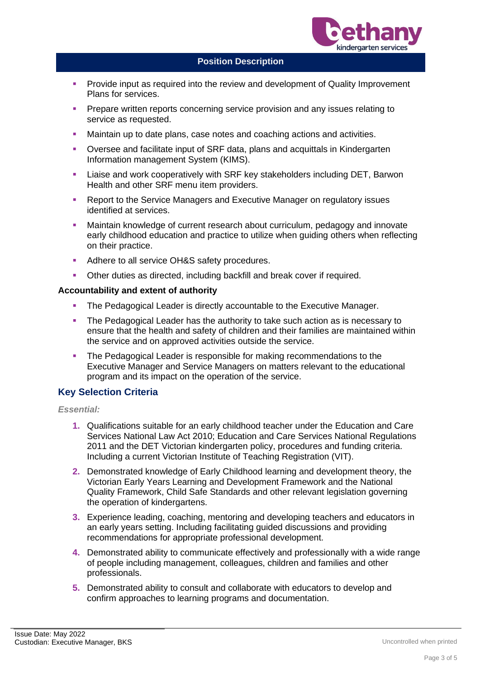

- Provide input as required into the review and development of Quality Improvement Plans for services.
- Prepare written reports concerning service provision and any issues relating to service as requested.
- Maintain up to date plans, case notes and coaching actions and activities.
- Oversee and facilitate input of SRF data, plans and acquittals in Kindergarten Information management System (KIMS).
- Liaise and work cooperatively with SRF key stakeholders including DET, Barwon Health and other SRF menu item providers.
- Report to the Service Managers and Executive Manager on regulatory issues identified at services.
- Maintain knowledge of current research about curriculum, pedagogy and innovate early childhood education and practice to utilize when guiding others when reflecting on their practice.
- Adhere to all service OH&S safety procedures.
- Other duties as directed, including backfill and break cover if required.

#### **Accountability and extent of authority**

- The Pedagogical Leader is directly accountable to the Executive Manager.
- **The Pedagogical Leader has the authority to take such action as is necessary to** ensure that the health and safety of children and their families are maintained within the service and on approved activities outside the service.
- The Pedagogical Leader is responsible for making recommendations to the Executive Manager and Service Managers on matters relevant to the educational program and its impact on the operation of the service.

### **Key Selection Criteria**

#### *Essential:*

- **1.** Qualifications suitable for an early childhood teacher under the Education and Care Services National Law Act 2010; Education and Care Services National Regulations 2011 and the DET Victorian kindergarten policy, procedures and funding criteria. Including a current Victorian Institute of Teaching Registration (VIT).
- **2.** Demonstrated knowledge of Early Childhood learning and development theory, the Victorian Early Years Learning and Development Framework and the National Quality Framework, Child Safe Standards and other relevant legislation governing the operation of kindergartens.
- **3.** Experience leading, coaching, mentoring and developing teachers and educators in an early years setting. Including facilitating guided discussions and providing recommendations for appropriate professional development.
- **4.** Demonstrated ability to communicate effectively and professionally with a wide range of people including management, colleagues, children and families and other professionals.
- **5.** Demonstrated ability to consult and collaborate with educators to develop and confirm approaches to learning programs and documentation.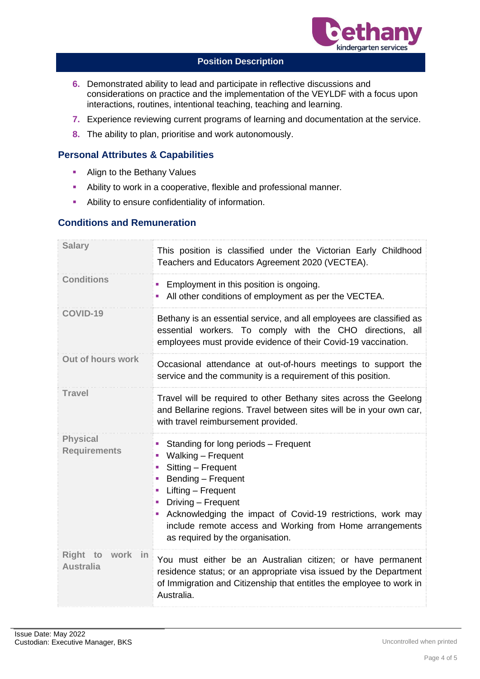

- **6.** Demonstrated ability to lead and participate in reflective discussions and considerations on practice and the implementation of the VEYLDF with a focus upon interactions, routines, intentional teaching, teaching and learning.
- **7.** Experience reviewing current programs of learning and documentation at the service.
- **8.** The ability to plan, prioritise and work autonomously.

## **Personal Attributes & Capabilities**

- **E** Align to the Bethany Values
- **EXEDENT** Ability to work in a cooperative, flexible and professional manner.
- **•** Ability to ensure confidentiality of information.

## **Conditions and Remuneration**

| <b>Salary</b>                                | This position is classified under the Victorian Early Childhood<br>Teachers and Educators Agreement 2020 (VECTEA).                                                                                                                                                                                                      |  |
|----------------------------------------------|-------------------------------------------------------------------------------------------------------------------------------------------------------------------------------------------------------------------------------------------------------------------------------------------------------------------------|--|
| <b>Conditions</b>                            | • Employment in this position is ongoing.<br>All other conditions of employment as per the VECTEA.                                                                                                                                                                                                                      |  |
| <b>COVID-19</b>                              | Bethany is an essential service, and all employees are classified as<br>essential workers. To comply with the CHO directions, all<br>employees must provide evidence of their Covid-19 vaccination.                                                                                                                     |  |
| Out of hours work                            | Occasional attendance at out-of-hours meetings to support the<br>service and the community is a requirement of this position.                                                                                                                                                                                           |  |
| <b>Travel</b>                                | Travel will be required to other Bethany sites across the Geelong<br>and Bellarine regions. Travel between sites will be in your own car,<br>with travel reimbursement provided.                                                                                                                                        |  |
| <b>Physical</b><br><b>Requirements</b>       | Standing for long periods - Frequent<br>Walking - Frequent<br>Sitting - Frequent<br>Bending - Frequent<br>Lifting - Frequent<br>Driving - Frequent<br>u.<br>Acknowledging the impact of Covid-19 restrictions, work may<br>include remote access and Working from Home arrangements<br>as required by the organisation. |  |
| Right to<br>work<br>- in<br><b>Australia</b> | You must either be an Australian citizen; or have permanent<br>residence status; or an appropriate visa issued by the Department<br>of Immigration and Citizenship that entitles the employee to work in<br>Australia.                                                                                                  |  |